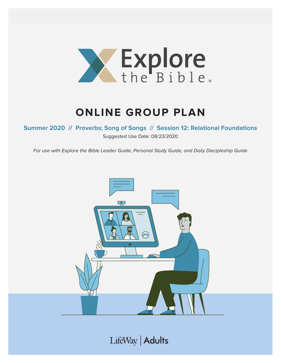

# **ONLINE GROUP PLAN**

**Summer 2020 // Proverbs; Song of Songs // Session 12: Relational Foundations**

Suggested Use Date: 08/23/2020

For use with Explore the Bible Leader Guide, Personal Study Guide, and Daily Discipleship Guide



LifeWay | Adults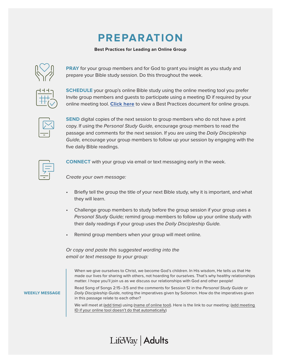## **PREPARATION**

#### **Best Practices for Leading an Online Group**



**PRAY** for your group members and for God to grant you insight as you study and prepare your Bible study session. Do this throughout the week.

**SCHEDULE** your group's online Bible study using the online meeting tool you prefer Invite group members and guests to participate using a meeting ID if required by your online meeting tool. **[Click here](https://s3.amazonaws.com/LWbranding/bsfl2019/2020/04/Online_Bible_Study_Best_Practices.pdf)** to view a Best Practices document for online groups.



**SEND** digital copies of the next session to group members who do not have a print copy. If using the Personal Study Guide, encourage group members to read the passage and comments for the next session. If you are using the Daily Discipleship Guide, encourage your group members to follow up your session by engaging with the five daily Bible readings.



**CONNECT** with your group via email or text messaging early in the week.

Create your own message:

- Briefly tell the group the title of your next Bible study, why it is important, and what they will learn.
- Challenge group members to study before the group session if your group uses a Personal Study Guide; remind group members to follow up your online study with their daily readings if your group uses the Daily Discipleship Guide.
- Remind group members when your group will meet online.

Or copy and paste this suggested wording into the email or text message to your group:

When we give ourselves to Christ, we become God's children. In His wisdom, He tells us that He made our lives for sharing with others, not hoarding for ourselves. That's why healthy relationships matter. I hope you'll join us as we discuss our relationships with God and other people!

**WEEKLY MESSAGE**

Read Song of Songs 2:15–3:5 and the comments for Session 12 in the Personal Study Guide or Daily Discipleship Guide, noting the imperatives given by Solomon. How do the imperatives given in this passage relate to each other?

We will meet at (add time) using (name of online tool). Here is the link to our meeting: (add meeting ID if your online tool doesn't do that automatically)

### LifeWay | Adults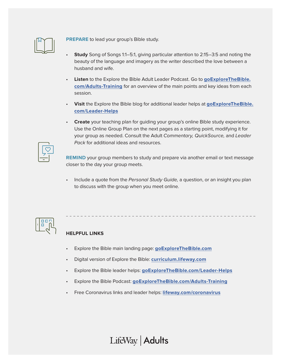

**PREPARE** to lead your group's Bible study.

- **Study** Song of Songs 1:1–5:1, giving particular attention to 2:15–3:5 and noting the beauty of the language and imagery as the writer described the love between a husband and wife.
- **Listen** to the Explore the Bible Adult Leader Podcast. Go to **[goExploreTheBible.](https://goexplorethebible.com/adults-training/) [com/Adults-Training](https://goexplorethebible.com/adults-training/)** for an overview of the main points and key ideas from each session.
- **Visit** the Explore the Bible blog for additional leader helps at **[goExploreTheBible.](https://goexplorethebible.com/blog/) [com/L](https://goexplorethebible.com/blog/)eader-Helps**
- **Create** your teaching plan for guiding your group's online Bible study experience. Use the Online Group Plan on the next pages as a starting point, modifying it for your group as needed. Consult the Adult Commentary, QuickSource, and Leader Pack for additional ideas and resources.

**REMIND** your group members to study and prepare via another email or text message closer to the day your group meets.

Include a quote from the Personal Study Guide, a question, or an insight you plan to discuss with the group when you meet online.



### **HELPFUL LINKS**

- Explore the Bible main landing page: **[goExploreTheBible.com](https://goexplorethebible.com/)**
- Digital version of Explore the Bible: **[curriculum.lifeway.com](https://curriculum.lifeway.com/#/)**
- Explore the Bible leader helps: **[goExploreTheBible.com/L](https://goexplorethebible.com/blog/)eader-Helps**
- Explore the Bible Podcast: **[goExploreTheBible.com/Adults-Training](https://goexplorethebible.com/adults-training/)**
- Free Coronavirus links and leader helps: **[lifeway.com/coronavirus](https://www.lifeway.com/coronavirus)**

LifeWay | Adults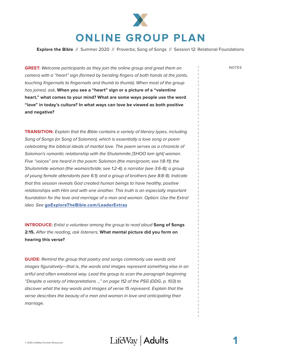

**Explore the Bible** // Summer 2020 // Proverbs; Song of Songs // Session 12: Relational Foundations

**GREET:** Welcome participants as they join the online group and greet them on NOTES camera with a "heart" sign (formed by bending fingers of both hands at the joints, touching fingernails to fingernails and thumb to thumb). When most of the group has joined, ask, **When you see a "heart" sign or a picture of a "valentine heart," what comes to your mind? What are some ways people use the word "love" in today's culture? In what ways can love be viewed as both positive and negative?**

**TRANSITION:** Explain that the Bible contains a variety of literary types, including Song of Songs (or Song of Solomon), which is essentially a love song or poem celebrating the biblical ideals of marital love. The poem serves as a chronicle of Solomon's romantic relationship with the Shulammite [SHOO lam ight] woman. Five "voices" are heard in the poem: Solomon (the man/groom; see 1:8-11); the Shulammite woman (the woman/bride; see 1:2-4); a narrator (see 3:6-8); a group of young female attendants (see 6:1); and a group of brothers (see 8:8-9). Indicate that this session reveals God created human beings to have healthy, positive relationships with Him and with one another. This truth is an especially important foundation for the love and marriage of a man and woman. Option: Use the Extra! idea. See **[goExploreTheBible.com/LeaderExtras](https://goexplorethebible.com/leaderextras/)**

**INTRODUCE:** Enlist a volunteer among the group to read aloud **Song of Songs 2:15.** After the reading, ask listeners, **What mental picture did you form on hearing this verse?**

**GUIDE:** Remind the group that poetry and songs commonly use words and images figuratively—that is, the words and images represent something else in an artful and often emotional way. Lead the group to scan the paragraph beginning "Despite a variety of interpretations …" on page 112 of the PSG (DDG, p. 103) to discover what the key words and images of verse 15 represent. Explain that the verse describes the beauty of a man and woman in love and anticipating their marriage.

© 2020 LifeWay Christian Resources **1**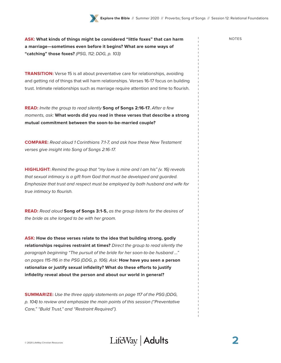**ASK:** What kinds of things might be considered "little foxes" that can harm **NOTES a marriage—sometimes even before it begins? What are some ways of "catching" those foxes?** (PSG, 112; DDG, p. 103)

**TRANSITION:** Verse 15 is all about preventative care for relationships, avoiding and getting rid of things that will harm relationships. Verses 16-17 focus on building trust. Intimate relationships such as marriage require attention and time to flourish.

**READ:** Invite the group to read silently **Song of Songs 2:16-17.** After a few moments, ask: **What words did you read in these verses that describe a strong mutual commitment between the soon-to-be-married couple?**

**COMPARE:** Read aloud 1 Corinthians 7:1-7, and ask how these New Testament verses give insight into Song of Songs 2:16-17.

**HIGHLIGHT:** Remind the group that "my love is mine and I am his" (v. 16) reveals that sexual intimacy is a gift from God that must be developed and guarded. Emphasize that trust and respect must be employed by both husband and wife for true intimacy to flourish.

**READ:** Read aloud **Song of Songs 3:1-5,** as the group listens for the desires of the bride as she longed to be with her groom.

**ASK: How do these verses relate to the idea that building strong, godly relationships requires restraint at times?** Direct the group to read silently the paragraph beginning "The pursuit of the bride for her soon-to-be husband …" on pages 115-116 in the PSG (DDG, p. 106). Ask: **How have you seen a person rationalize or justify sexual infidelity? What do these efforts to justify infidelity reveal about the person and about our world in general?**

**SUMMARIZE:** Use the three apply statements on page 117 of the PSG (DDG, p. 104) to review and emphasize the main points of this session ("Preventative Care," "Build Trust," and "Restraint Required").



**2**